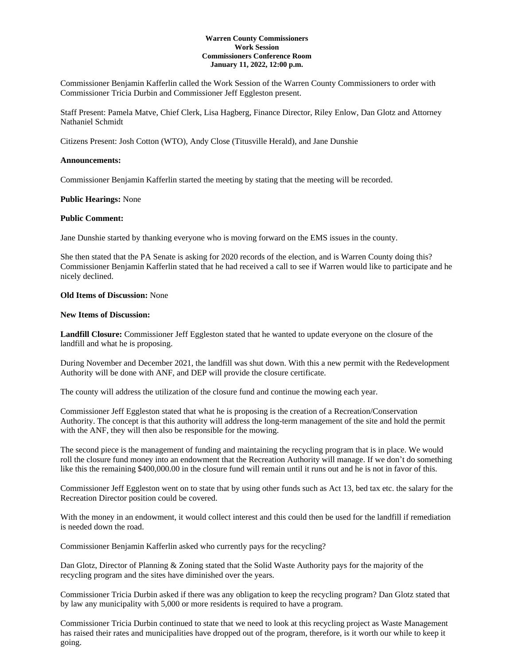## **Warren County Commissioners Work Session Commissioners Conference Room January 11, 2022, 12:00 p.m.**

Commissioner Benjamin Kafferlin called the Work Session of the Warren County Commissioners to order with Commissioner Tricia Durbin and Commissioner Jeff Eggleston present.

Staff Present: Pamela Matve, Chief Clerk, Lisa Hagberg, Finance Director, Riley Enlow, Dan Glotz and Attorney Nathaniel Schmidt

Citizens Present: Josh Cotton (WTO), Andy Close (Titusville Herald), and Jane Dunshie

## **Announcements:**

Commissioner Benjamin Kafferlin started the meeting by stating that the meeting will be recorded.

### **Public Hearings:** None

### **Public Comment:**

Jane Dunshie started by thanking everyone who is moving forward on the EMS issues in the county.

She then stated that the PA Senate is asking for 2020 records of the election, and is Warren County doing this? Commissioner Benjamin Kafferlin stated that he had received a call to see if Warren would like to participate and he nicely declined.

## **Old Items of Discussion:** None

## **New Items of Discussion:**

**Landfill Closure:** Commissioner Jeff Eggleston stated that he wanted to update everyone on the closure of the landfill and what he is proposing.

During November and December 2021, the landfill was shut down. With this a new permit with the Redevelopment Authority will be done with ANF, and DEP will provide the closure certificate.

The county will address the utilization of the closure fund and continue the mowing each year.

Commissioner Jeff Eggleston stated that what he is proposing is the creation of a Recreation/Conservation Authority. The concept is that this authority will address the long-term management of the site and hold the permit with the ANF, they will then also be responsible for the mowing.

The second piece is the management of funding and maintaining the recycling program that is in place. We would roll the closure fund money into an endowment that the Recreation Authority will manage. If we don't do something like this the remaining \$400,000.00 in the closure fund will remain until it runs out and he is not in favor of this.

Commissioner Jeff Eggleston went on to state that by using other funds such as Act 13, bed tax etc. the salary for the Recreation Director position could be covered.

With the money in an endowment, it would collect interest and this could then be used for the landfill if remediation is needed down the road.

Commissioner Benjamin Kafferlin asked who currently pays for the recycling?

Dan Glotz, Director of Planning & Zoning stated that the Solid Waste Authority pays for the majority of the recycling program and the sites have diminished over the years.

Commissioner Tricia Durbin asked if there was any obligation to keep the recycling program? Dan Glotz stated that by law any municipality with 5,000 or more residents is required to have a program.

Commissioner Tricia Durbin continued to state that we need to look at this recycling project as Waste Management has raised their rates and municipalities have dropped out of the program, therefore, is it worth our while to keep it going.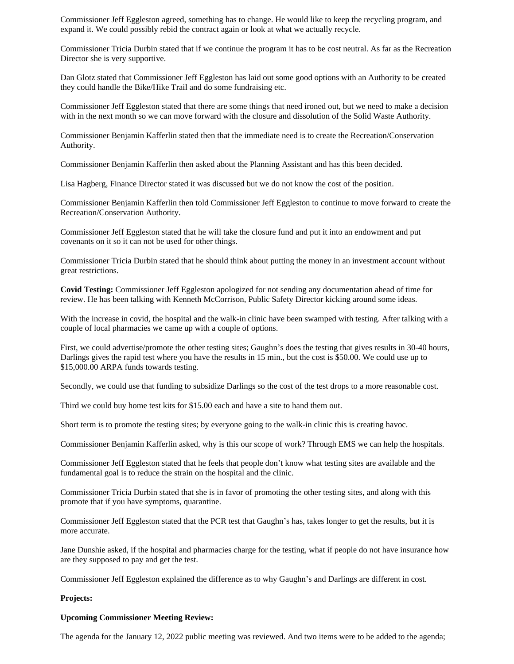Commissioner Jeff Eggleston agreed, something has to change. He would like to keep the recycling program, and expand it. We could possibly rebid the contract again or look at what we actually recycle.

Commissioner Tricia Durbin stated that if we continue the program it has to be cost neutral. As far as the Recreation Director she is very supportive.

Dan Glotz stated that Commissioner Jeff Eggleston has laid out some good options with an Authority to be created they could handle the Bike/Hike Trail and do some fundraising etc.

Commissioner Jeff Eggleston stated that there are some things that need ironed out, but we need to make a decision with in the next month so we can move forward with the closure and dissolution of the Solid Waste Authority.

Commissioner Benjamin Kafferlin stated then that the immediate need is to create the Recreation/Conservation Authority.

Commissioner Benjamin Kafferlin then asked about the Planning Assistant and has this been decided.

Lisa Hagberg, Finance Director stated it was discussed but we do not know the cost of the position.

Commissioner Benjamin Kafferlin then told Commissioner Jeff Eggleston to continue to move forward to create the Recreation/Conservation Authority.

Commissioner Jeff Eggleston stated that he will take the closure fund and put it into an endowment and put covenants on it so it can not be used for other things.

Commissioner Tricia Durbin stated that he should think about putting the money in an investment account without great restrictions.

**Covid Testing:** Commissioner Jeff Eggleston apologized for not sending any documentation ahead of time for review. He has been talking with Kenneth McCorrison, Public Safety Director kicking around some ideas.

With the increase in covid, the hospital and the walk-in clinic have been swamped with testing. After talking with a couple of local pharmacies we came up with a couple of options.

First, we could advertise/promote the other testing sites; Gaughn's does the testing that gives results in 30-40 hours, Darlings gives the rapid test where you have the results in 15 min., but the cost is \$50.00. We could use up to \$15,000.00 ARPA funds towards testing.

Secondly, we could use that funding to subsidize Darlings so the cost of the test drops to a more reasonable cost.

Third we could buy home test kits for \$15.00 each and have a site to hand them out.

Short term is to promote the testing sites; by everyone going to the walk-in clinic this is creating havoc.

Commissioner Benjamin Kafferlin asked, why is this our scope of work? Through EMS we can help the hospitals.

Commissioner Jeff Eggleston stated that he feels that people don't know what testing sites are available and the fundamental goal is to reduce the strain on the hospital and the clinic.

Commissioner Tricia Durbin stated that she is in favor of promoting the other testing sites, and along with this promote that if you have symptoms, quarantine.

Commissioner Jeff Eggleston stated that the PCR test that Gaughn's has, takes longer to get the results, but it is more accurate.

Jane Dunshie asked, if the hospital and pharmacies charge for the testing, what if people do not have insurance how are they supposed to pay and get the test.

Commissioner Jeff Eggleston explained the difference as to why Gaughn's and Darlings are different in cost.

#### **Projects:**

#### **Upcoming Commissioner Meeting Review:**

The agenda for the January 12, 2022 public meeting was reviewed. And two items were to be added to the agenda;